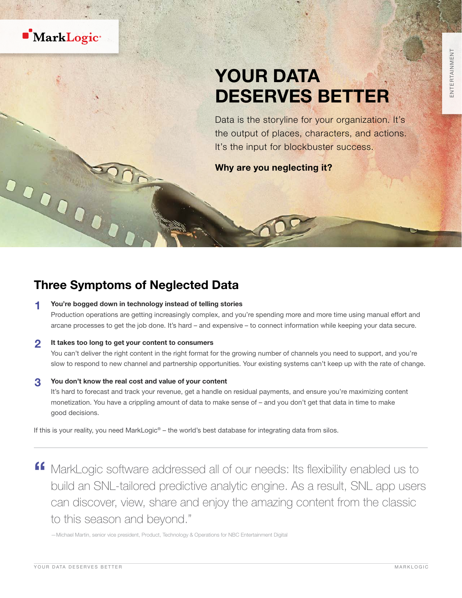

# YOUR DATA DESERVES BETTER

Data is the storyline for your organization. It's the output of places, characters, and actions. It's the input for blockbuster success.

Why are you neglecting it?

## Three Symptoms of Neglected Data

1 <sup>t</sup>

#### You're bogged down in technology instead of telling stories

Production operations are getting increasingly complex, and you're spending more and more time using manual effort and arcane processes to get the job done. It's hard – and expensive – to connect information while keeping your data secure.

#### 2 It takes too long to get your content to consumers

You can't deliver the right content in the right format for the growing number of channels you need to support, and you're slow to respond to new channel and partnership opportunities. Your existing systems can't keep up with the rate of change.

#### 3 You don't know the real cost and value of your content

It's hard to forecast and track your revenue, get a handle on residual payments, and ensure you're maximizing content monetization. You have a crippling amount of data to make sense of – and you don't get that data in time to make good decisions.

If this is your reality, you need MarkLogic<sup>®</sup> – the world's best database for integrating data from silos.

**"** MarkLogic software addressed all of our needs: Its flexibility enabled us to build an SNL-tailored predictive analytic engine. As a result, SNL app users can discover, view, share and enjoy the amazing content from the classic to this season and beyond."

—Michael Martin, senior vice president, Product, Technology & Operations for NBC Entertainment Digital